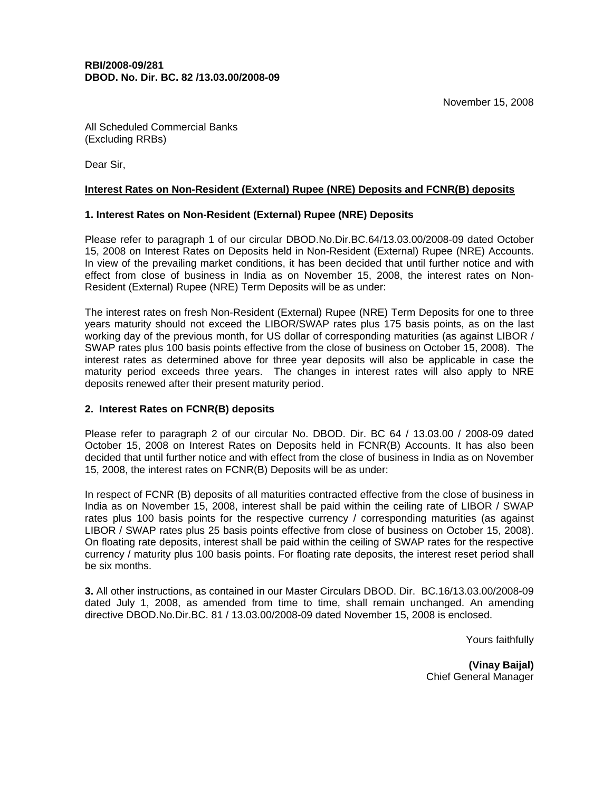All Scheduled Commercial Banks (Excluding RRBs)

Dear Sir,

### **Interest Rates on Non-Resident (External) Rupee (NRE) Deposits and FCNR(B) deposits**

# **1. Interest Rates on Non-Resident (External) Rupee (NRE) Deposits**

Please refer to paragraph 1 of our circular DBOD.No.Dir.BC.64/13.03.00/2008-09 dated October 15, 2008 on Interest Rates on Deposits held in Non-Resident (External) Rupee (NRE) Accounts. In view of the prevailing market conditions, it has been decided that until further notice and with effect from close of business in India as on November 15, 2008, the interest rates on Non-Resident (External) Rupee (NRE) Term Deposits will be as under:

The interest rates on fresh Non-Resident (External) Rupee (NRE) Term Deposits for one to three years maturity should not exceed the LIBOR/SWAP rates plus 175 basis points, as on the last working day of the previous month, for US dollar of corresponding maturities (as against LIBOR / SWAP rates plus 100 basis points effective from the close of business on October 15, 2008). The interest rates as determined above for three year deposits will also be applicable in case the maturity period exceeds three years. The changes in interest rates will also apply to NRE deposits renewed after their present maturity period.

# **2. Interest Rates on FCNR(B) deposits**

Please refer to paragraph 2 of our circular No. DBOD. Dir. BC 64 / 13.03.00 / 2008-09 dated October 15, 2008 on Interest Rates on Deposits held in FCNR(B) Accounts. It has also been decided that until further notice and with effect from the close of business in India as on November 15, 2008, the interest rates on FCNR(B) Deposits will be as under:

In respect of FCNR (B) deposits of all maturities contracted effective from the close of business in India as on November 15, 2008, interest shall be paid within the ceiling rate of LIBOR / SWAP rates plus 100 basis points for the respective currency / corresponding maturities (as against LIBOR / SWAP rates plus 25 basis points effective from close of business on October 15, 2008). On floating rate deposits, interest shall be paid within the ceiling of SWAP rates for the respective currency / maturity plus 100 basis points. For floating rate deposits, the interest reset period shall be six months.

**3.** All other instructions, as contained in our Master Circulars DBOD. Dir. BC.16/13.03.00/2008-09 dated July 1, 2008, as amended from time to time, shall remain unchanged. An amending directive DBOD.No.Dir.BC. 81 / 13.03.00/2008-09 dated November 15, 2008 is enclosed.

Yours faithfully

**(Vinay Baijal)**  Chief General Manager